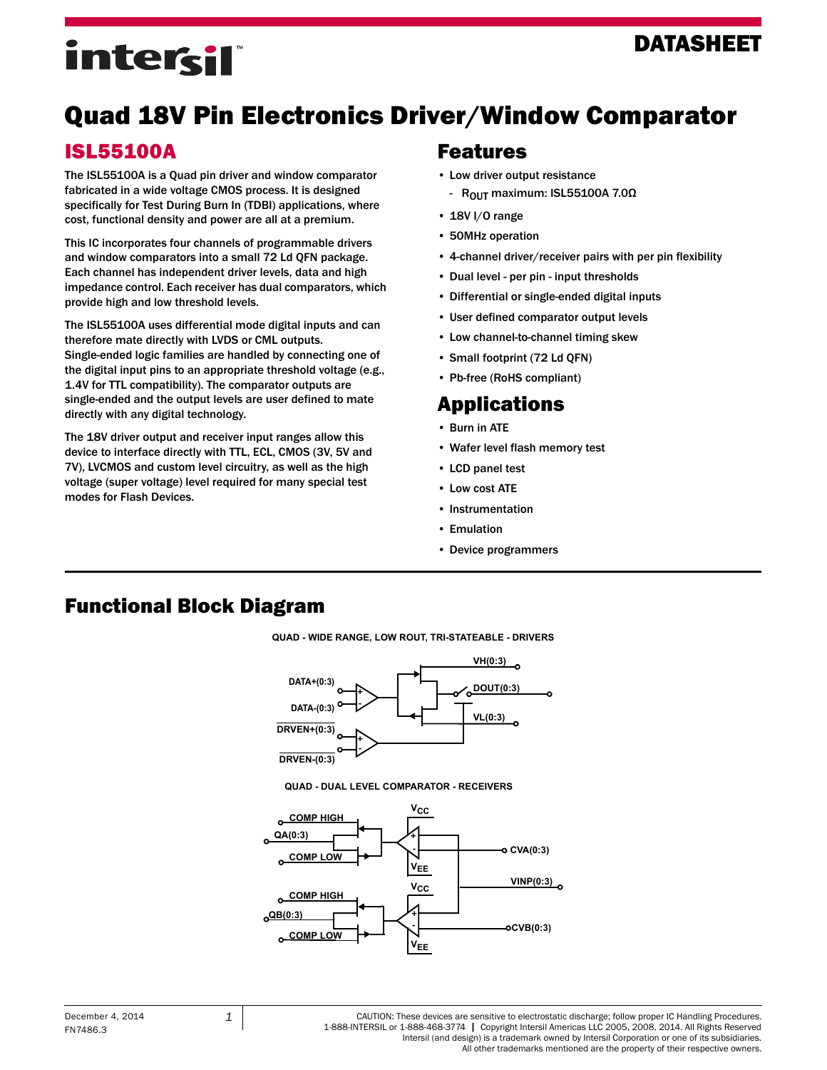### DATASHEET

# intersil

## Quad 18V Pin Electronics Driver/Window Comparator

### ISL55100A

The ISL55100A is a Quad pin driver and window comparator fabricated in a wide voltage CMOS process. It is designed specifically for Test During Burn In (TDBI) applications, where cost, functional density and power are all at a premium.

This IC incorporates four channels of programmable drivers and window comparators into a small 72 Ld QFN package. Each channel has independent driver levels, data and high impedance control. Each receiver has dual comparators, which provide high and low threshold levels.

The ISL55100A uses differential mode digital inputs and can therefore mate directly with LVDS or CML outputs. Single-ended logic families are handled by connecting one of the digital input pins to an appropriate threshold voltage (e.g., 1.4V for TTL compatibility). The comparator outputs are single-ended and the output levels are user defined to mate directly with any digital technology.

The 18V driver output and receiver input ranges allow this device to interface directly with TTL, ECL, CMOS (3V, 5V and 7V), LVCMOS and custom level circuitry, as well as the high voltage (super voltage) level required for many special test modes for Flash Devices.

### Features

- Low driver output resistance
	- R<sub>OUT</sub> maximum: ISL55100A 7.0Ω
- 18V I/O range
- 50MHz operation
- 4-channel driver/receiver pairs with per pin flexibility
- Dual level per pin input thresholds
- Differential or single-ended digital inputs
- User defined comparator output levels
- Low channel-to-channel timing skew
- Small footprint (72 Ld QFN)
- Pb-free (RoHS compliant)

### Applications

- Burn in ATE
- Wafer level flash memory test
- LCD panel test
- Low cost ATE
- Instrumentation
- Emulation
- Device programmers

### Functional Block Diagram

**QUAD - WIDE RANGE, LOW ROUT, TRI-STATEABLE - DRIVERS**





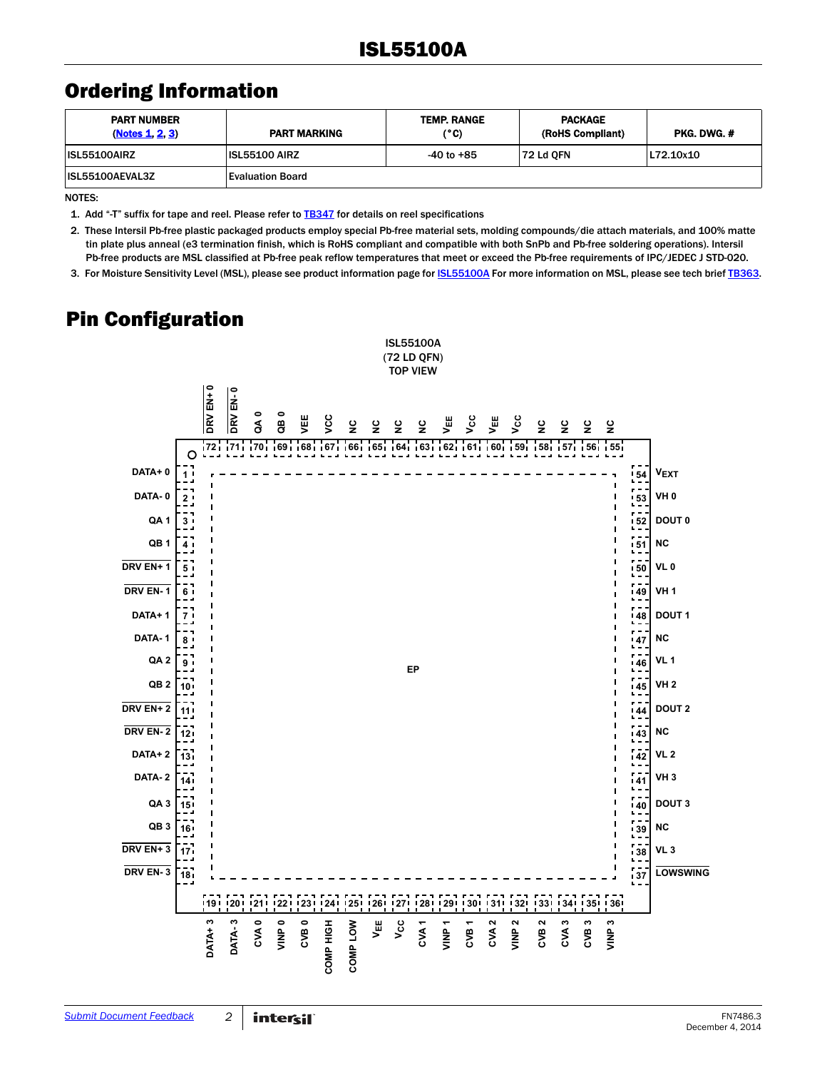### <span id="page-1-3"></span>Ordering Information

| <b>PART NUMBER</b><br>(Notes 1, 2, 3) | <b>PART MARKING</b>     | <b>TEMP. RANGE</b><br>(°C) | <b>PACKAGE</b><br>(RoHS Compliant) | PKG. DWG. # |
|---------------------------------------|-------------------------|----------------------------|------------------------------------|-------------|
| <b>ISL55100AIRZ</b>                   | <b>ISL55100 AIRZ</b>    | $-40$ to $+85$             | <b>72 Ld OFN</b>                   | L72.10x10   |
| <b>ISL55100AEVAL3Z</b>                | <b>Evaluation Board</b> |                            |                                    |             |

NOTES:

<span id="page-1-0"></span>1. Add "-T" suffix for tape and reel. Please refer to **TB347** for details on reel specifications

<span id="page-1-1"></span>2. These Intersil Pb-free plastic packaged products employ special Pb-free material sets, molding compounds/die attach materials, and 100% matte tin plate plus anneal (e3 termination finish, which is RoHS compliant and compatible with both SnPb and Pb-free soldering operations). Intersil Pb-free products are MSL classified at Pb-free peak reflow temperatures that meet or exceed the Pb-free requirements of IPC/JEDEC J STD-020.

<span id="page-1-2"></span>3. For Moisture Sensitivity Level (MSL), please see product information page for *ISL55100A* For more information on MSL, please see tech brief [TB363](http://www.intersil.com/content/dam/Intersil/documents/tb36/tb363.pdf).

### Pin Configuration

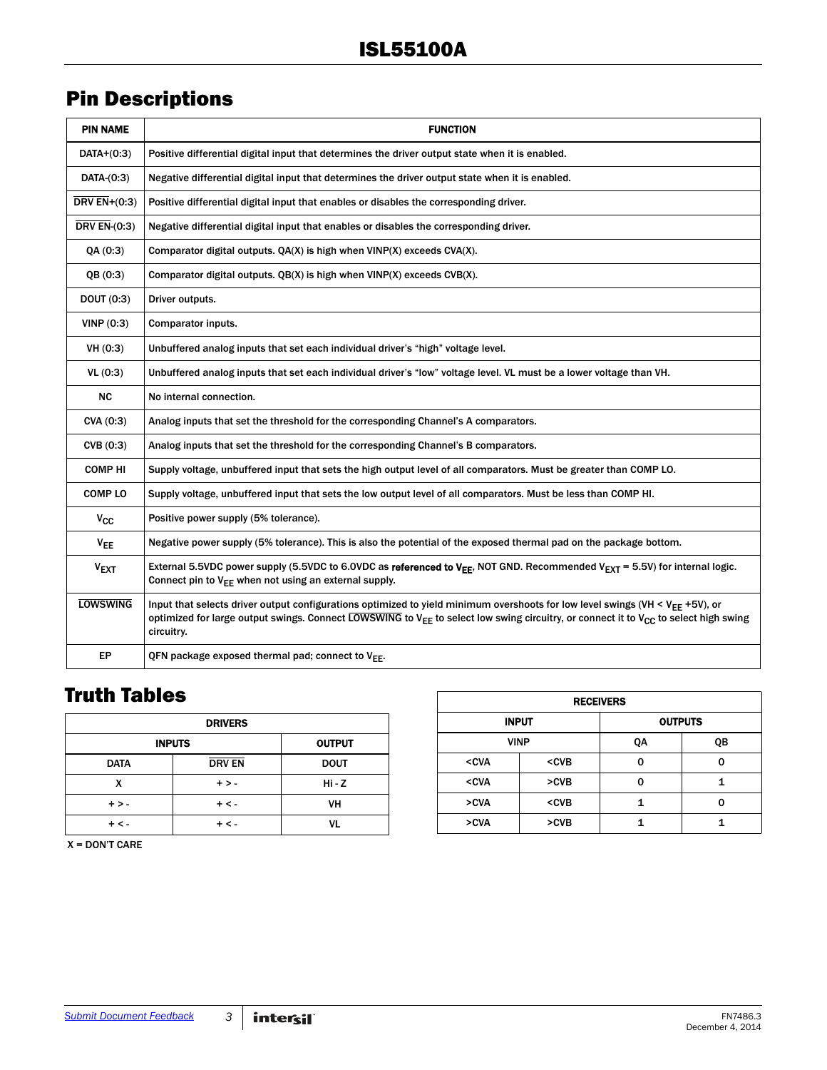### <span id="page-2-1"></span>Pin Descriptions

| <b>PIN NAME</b>  | <b>FUNCTION</b>                                                                                                                                                                                                                                                                                                        |
|------------------|------------------------------------------------------------------------------------------------------------------------------------------------------------------------------------------------------------------------------------------------------------------------------------------------------------------------|
| $DATA+(0:3)$     | Positive differential digital input that determines the driver output state when it is enabled.                                                                                                                                                                                                                        |
| DATA-(0:3)       | Negative differential digital input that determines the driver output state when it is enabled.                                                                                                                                                                                                                        |
| DRV $EN+(0:3)$   | Positive differential digital input that enables or disables the corresponding driver.                                                                                                                                                                                                                                 |
| DRV $EN-(0:3)$   | Negative differential digital input that enables or disables the corresponding driver.                                                                                                                                                                                                                                 |
| QA(0:3)          | Comparator digital outputs. QA(X) is high when VINP(X) exceeds CVA(X).                                                                                                                                                                                                                                                 |
| QB(0:3)          | Comparator digital outputs. QB(X) is high when VINP(X) exceeds CVB(X).                                                                                                                                                                                                                                                 |
| DOUT $(0:3)$     | Driver outputs.                                                                                                                                                                                                                                                                                                        |
| VINP(0:3)        | Comparator inputs.                                                                                                                                                                                                                                                                                                     |
| VH(0:3)          | Unbuffered analog inputs that set each individual driver's "high" voltage level.                                                                                                                                                                                                                                       |
| VL(0:3)          | Unbuffered analog inputs that set each individual driver's "low" voltage level. VL must be a lower voltage than VH.                                                                                                                                                                                                    |
| <b>NC</b>        | No internal connection.                                                                                                                                                                                                                                                                                                |
| CVA (0:3)        | Analog inputs that set the threshold for the corresponding Channel's A comparators.                                                                                                                                                                                                                                    |
| CVB(0:3)         | Analog inputs that set the threshold for the corresponding Channel's B comparators.                                                                                                                                                                                                                                    |
| <b>COMP HI</b>   | Supply voltage, unbuffered input that sets the high output level of all comparators. Must be greater than COMP LO.                                                                                                                                                                                                     |
| <b>COMP LO</b>   | Supply voltage, unbuffered input that sets the low output level of all comparators. Must be less than COMP HI.                                                                                                                                                                                                         |
| $V_{CC}$         | Positive power supply (5% tolerance).                                                                                                                                                                                                                                                                                  |
| $V_{EE}$         | Negative power supply (5% tolerance). This is also the potential of the exposed thermal pad on the package bottom.                                                                                                                                                                                                     |
| V <sub>EXT</sub> | External 5.5VDC power supply (5.5VDC to 6.0VDC as referenced to V <sub>EE</sub> , NOT GND. Recommended V <sub>FXT</sub> = 5.5V) for internal logic.<br>Connect pin to $V_{EE}$ when not using an external supply.                                                                                                      |
| <b>LOWSWING</b>  | Input that selects driver output configurations optimized to yield minimum overshoots for low level swings (VH < V <sub>FF</sub> +5V), or<br>optimized for large output swings. Connect LOWSWING to V <sub>EE</sub> to select low swing circuitry, or connect it to V <sub>CC</sub> to select high swing<br>circuitry. |
| ЕP               | QFN package exposed thermal pad; connect to $V_{FF}$ .                                                                                                                                                                                                                                                                 |

### <span id="page-2-0"></span>Truth Tables

| <b>DRIVERS</b>                 |               |             |  |  |  |
|--------------------------------|---------------|-------------|--|--|--|
| <b>INPUTS</b><br><b>OUTPUT</b> |               |             |  |  |  |
| <b>DATA</b>                    | <b>DRV EN</b> | <b>DOUT</b> |  |  |  |
| x                              | $+>$          | Hi - Z      |  |  |  |
| $+ > -$                        | $+ < -$       | VH          |  |  |  |
| $+ < -$                        | $+ < -$       | V١          |  |  |  |

| <b>RECEIVERS</b>                                                    |                                         |    |    |  |  |  |
|---------------------------------------------------------------------|-----------------------------------------|----|----|--|--|--|
| <b>INPUT</b><br><b>OUTPUTS</b>                                      |                                         |    |    |  |  |  |
| <b>VINP</b>                                                         |                                         | QA | QВ |  |  |  |
| <cva< td=""><td><cvb< td=""><td>O</td><td>ი</td></cvb<></td></cva<> | <cvb< td=""><td>O</td><td>ი</td></cvb<> | O  | ი  |  |  |  |
| <cva< td=""><td><math>&gt;</math>CVB</td><td>n</td><td></td></cva<> | $>$ CVB                                 | n  |    |  |  |  |
| >CVA                                                                | <cvb< td=""><td></td><td>ŋ</td></cvb<>  |    | ŋ  |  |  |  |
| >CVA                                                                | $>$ CVB                                 |    |    |  |  |  |

X = DON'T CARE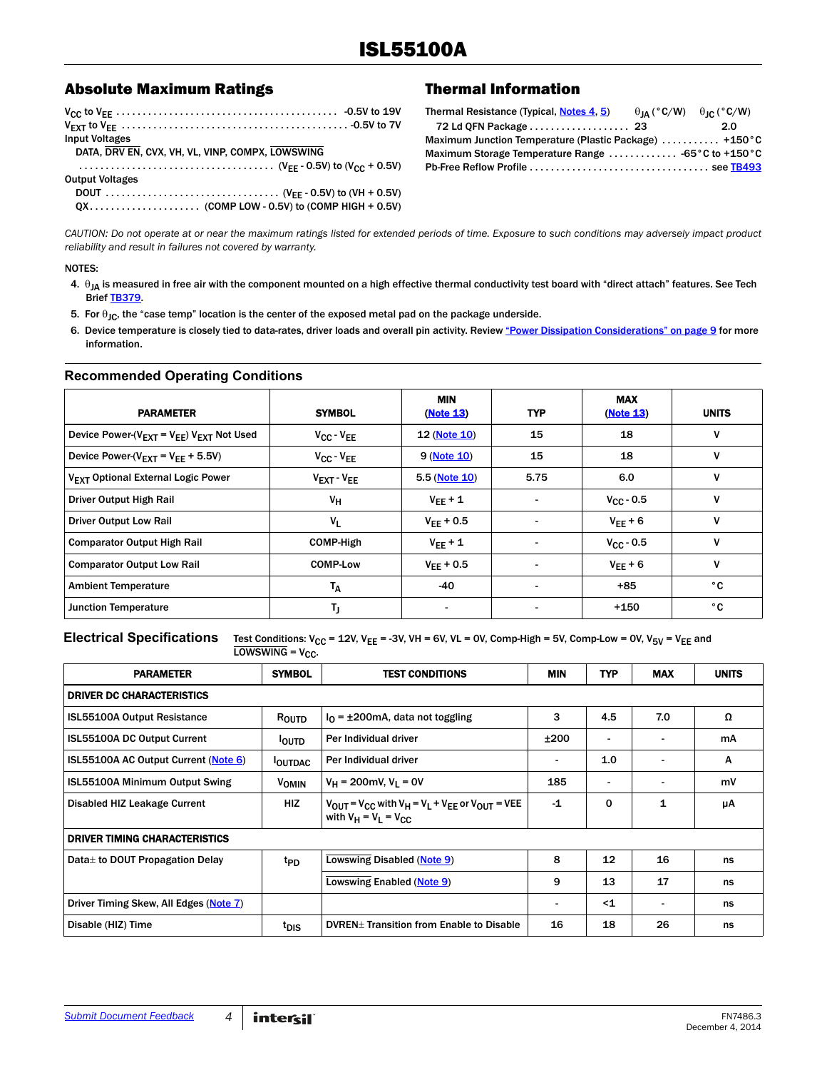#### <span id="page-3-4"></span>Absolute Maximum Ratings Thermal Information

| Input Voltages                                   |  |
|--------------------------------------------------|--|
| DATA, DRV EN, CVX, VH, VL, VINP, COMPX, LOWSWING |  |
|                                                  |  |
| <b>Output Voltages</b>                           |  |
|                                                  |  |
|                                                  |  |

<span id="page-3-3"></span>

| Thermal Resistance (Typical, Notes 4, 5)                | $\theta_{IA}$ (°C/W) $\theta_{IC}$ (°C/W) |
|---------------------------------------------------------|-------------------------------------------|
|                                                         | 2.0                                       |
| Maximum Junction Temperature (Plastic Package)  +150 °C |                                           |
| Maximum Storage Temperature Range  -65°C to +150°C      |                                           |
|                                                         |                                           |

*CAUTION: Do not operate at or near the maximum ratings listed for extended periods of time. Exposure to such conditions may adversely impact product reliability and result in failures not covered by warranty.*

#### NOTES:

- <span id="page-3-0"></span>4.  $\theta_{IA}$  is measured in free air with the component mounted on a high effective thermal conductivity test board with "direct attach" features. See Tech Brief [TB379](http://www.intersil.com/content/dam/Intersil/documents/tb37/tb379.pdf).
- <span id="page-3-1"></span>5. For  $\theta_{\text{JC}}$ , the "case temp" location is the center of the exposed metal pad on the package underside.
- <span id="page-3-2"></span>6. Device temperature is closely tied to data-rates, driver loads and overall pin activity. Review ["Power Dissipation Considerations" on page 9](#page-8-0) for more information.

#### **Recommended Operating Conditions**

| <b>PARAMETER</b>                                          | <b>SYMBOL</b>                      | <b>MIN</b><br>(Note 13) | <b>TYP</b>               | <b>MAX</b><br>(Note 13) | <b>UNITS</b> |
|-----------------------------------------------------------|------------------------------------|-------------------------|--------------------------|-------------------------|--------------|
| Device Power- $(V_{EXT} = V_{EF}) V_{EXT}$ Not Used       | $V_{CC} - V_{EE}$                  | 12 (Note 10)            | 15                       | 18                      | v            |
| Device Power-( $V_{\text{EXT}}$ = $V_{\text{FE}}$ + 5.5V) | $V_{CC} - V_{EE}$                  | 9 (Note 10)             | 15                       | 18                      | v            |
| V <sub>FXT</sub> Optional External Logic Power            | $V_{\text{EXT}}$ - $V_{\text{EE}}$ | 5.5 (Note 10)           | 5.75                     | 6.0                     | v            |
| Driver Output High Rail                                   | VH                                 | $V_{FF} + 1$            | $\blacksquare$           | $V_{\rm CC}$ - 0.5      | V            |
| <b>Driver Output Low Rail</b>                             | $V_L$                              | $V_{FF} + 0.5$          | $\overline{\phantom{a}}$ | $V_{FF}$ + 6            | v            |
| <b>Comparator Output High Rail</b>                        | <b>COMP-High</b>                   | $V_{FF} + 1$            |                          | $V_{C} - 0.5$           | v            |
| <b>Comparator Output Low Rail</b>                         | <b>COMP-Low</b>                    | $V_{FF} + 0.5$          | $\overline{\phantom{a}}$ | $V_{FF}$ + 6            | v            |
| <b>Ambient Temperature</b>                                | $T_A$                              | -40                     | $\blacksquare$           | $+85$                   | ۰c           |
| <b>Junction Temperature</b>                               | Tj                                 |                         |                          | $+150$                  | ۰c           |

#### **Electrical Specifications** Test Conditions:  $V_{CC}$  = 12V,  $V_{EE}$  = -3V, VH = 6V, VL = 0V, Comp-High = 5V, Comp-Low = 0V, V<sub>5V</sub> = V<sub>EE</sub> and

 $LOWSWING = V_{CC}$ .

| <b>PARAMETER</b>                       | <b>SYMBOL</b>    | <b>TEST CONDITIONS</b>                                                                                                           | <b>MIN</b>               | <b>TYP</b>                   | <b>MAX</b> | <b>UNITS</b> |  |  |
|----------------------------------------|------------------|----------------------------------------------------------------------------------------------------------------------------------|--------------------------|------------------------------|------------|--------------|--|--|
| <b>DRIVER DC CHARACTERISTICS</b>       |                  |                                                                                                                                  |                          |                              |            |              |  |  |
| <b>ISL55100A Output Resistance</b>     | ROUTD            | $I_{\Omega}$ = ±200mA, data not toggling                                                                                         | 3                        | 4.5                          | 7.0        | Ω            |  |  |
| ISL55100A DC Output Current            | <b>OUTD</b>      | Per Individual driver                                                                                                            | ±200                     | $\blacksquare$               |            | mA           |  |  |
| ISL55100A AC Output Current (Note 6)   | <b>OUTDAC</b>    | Per Individual driver                                                                                                            | $\overline{\phantom{a}}$ | 1.0                          |            | А            |  |  |
| ISL55100A Minimum Output Swing         | <b>VOMIN</b>     | $V_H$ = 200mV, $V_I$ = 0V                                                                                                        | 185                      | $\qquad \qquad \blacksquare$ |            | mV           |  |  |
| Disabled HIZ Leakage Current           | <b>HIZ</b>       | $V_{\text{OUT}} = V_{\text{CC}}$ with $V_H = V_L + V_{\text{FE}}$ or $V_{\text{OUT}} = V \text{EE}$<br>with $V_H = V_I = V_{CC}$ | $-1$                     | $\mathbf 0$                  | 1          | μA           |  |  |
| <b>DRIVER TIMING CHARACTERISTICS</b>   |                  |                                                                                                                                  |                          |                              |            |              |  |  |
| Data to DOUT Propagation Delay         | t <sub>PD</sub>  | Lowswing Disabled (Note 9)                                                                                                       | 8                        | 12                           | 16         | ns           |  |  |
|                                        |                  | Lowswing Enabled (Note 9)                                                                                                        | 9                        | 13                           | 17         | ns           |  |  |
| Driver Timing Skew, All Edges (Note 7) |                  |                                                                                                                                  | $\blacksquare$           | $\leq 1$                     |            | ns           |  |  |
| Disable (HIZ) Time                     | t <sub>DIS</sub> | DVREN <sup>+</sup> Transition from Enable to Disable                                                                             | 16                       | 18                           | 26         | ns           |  |  |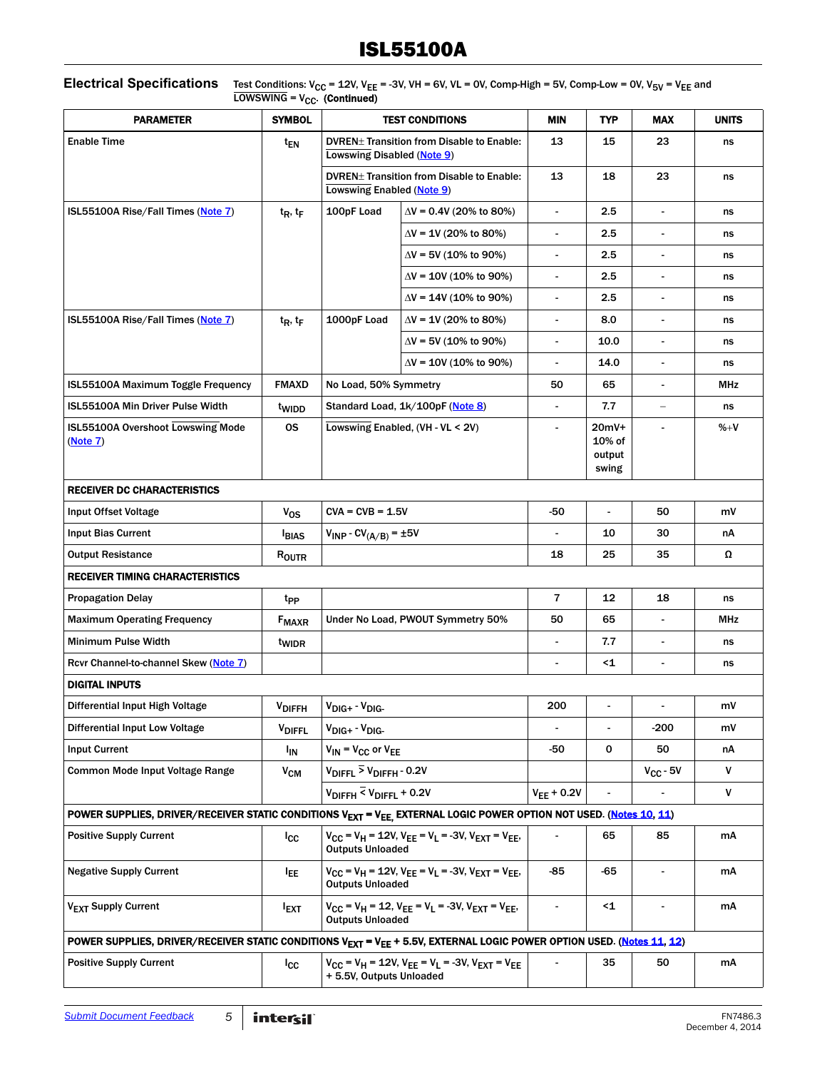#### **Electrical Specifications** Test Conditions:  $V_{CC}$  = 12V,  $V_{EE}$  = -3V, VH = 6V, VL = 0V, Comp-High = 5V, Comp-Low = 0V,  $V_{5V}$  =  $V_{EE}$  and  $LOWSWING = V_{CC}$ . (Continued)

| <b>PARAMETER</b>                                                                                                                              | <b>SYMBOL</b>         |                                                                                                                                          | <b>TEST CONDITIONS</b>                                               | <b>MIN</b>               | <b>TYP</b>                         | <b>MAX</b>               | <b>UNITS</b> |
|-----------------------------------------------------------------------------------------------------------------------------------------------|-----------------------|------------------------------------------------------------------------------------------------------------------------------------------|----------------------------------------------------------------------|--------------------------|------------------------------------|--------------------------|--------------|
| <b>Enable Time</b>                                                                                                                            | t <sub>EN</sub>       | Lowswing Disabled (Note 9)                                                                                                               | DVREN <sup>+</sup> Transition from Disable to Enable:                | 13                       | 15                                 | 23                       | ns           |
|                                                                                                                                               |                       | DVREN <sup>+</sup> Transition from Disable to Enable:<br>Lowswing Enabled (Note 9)                                                       |                                                                      | 13                       | 18                                 | 23                       | ns           |
| ISL55100A Rise/Fall Times (Note 7)                                                                                                            | $t_R$ , $t_F$         | 100pF Load<br>$\Delta V$ = 0.4V (20% to 80%)                                                                                             |                                                                      |                          | 2.5                                | ٠                        | ns           |
|                                                                                                                                               |                       |                                                                                                                                          | $\Delta V$ = 1V (20% to 80%)                                         | $\blacksquare$           | 2.5                                |                          | ns           |
|                                                                                                                                               |                       |                                                                                                                                          | $\Delta V$ = 5V (10% to 90%)                                         | $\overline{\phantom{a}}$ | 2.5                                | $\overline{\phantom{a}}$ | ns           |
|                                                                                                                                               |                       |                                                                                                                                          | $\Delta V$ = 10V (10% to 90%)                                        |                          | 2.5                                |                          | ns           |
|                                                                                                                                               |                       |                                                                                                                                          | $\Delta V = 14V (10\% \text{ to } 90\%)$                             | $\blacksquare$           | 2.5                                |                          | ns           |
| ISL55100A Rise/Fall Times (Note 7)                                                                                                            | $t_R$ , $t_F$         | 1000pF Load                                                                                                                              | $\Delta V$ = 1V (20% to 80%)                                         | $\overline{\phantom{a}}$ | 8.0                                | $\blacksquare$           | ns           |
|                                                                                                                                               |                       |                                                                                                                                          | $\Delta V$ = 5V (10% to 90%)                                         | $\overline{\phantom{a}}$ | 10.0                               | $\frac{1}{2}$            | ns           |
|                                                                                                                                               |                       |                                                                                                                                          | $\Delta V$ = 10V (10% to 90%)                                        |                          | 14.0                               |                          | ns           |
| ISL55100A Maximum Toggle Frequency                                                                                                            | <b>FMAXD</b>          | No Load, 50% Symmetry                                                                                                                    |                                                                      | 50                       | 65                                 | $\overline{\phantom{a}}$ | MHz          |
| ISL55100A Min Driver Pulse Width                                                                                                              | twidd                 |                                                                                                                                          | Standard Load, 1k/100pF (Note 8)                                     |                          | 7.7                                | $\equiv$                 | ns           |
| ISL55100A Overshoot Lowswing Mode<br>(Note 7)                                                                                                 | <b>OS</b>             | Lowswing Enabled, (VH - VL < 2V)                                                                                                         |                                                                      |                          | 20mV+<br>10% of<br>output<br>swing |                          | $% +V$       |
| <b>RECEIVER DC CHARACTERISTICS</b>                                                                                                            |                       |                                                                                                                                          |                                                                      |                          |                                    |                          |              |
| Input Offset Voltage                                                                                                                          | V <sub>OS</sub>       | $CVA = CVB = 1.5V$                                                                                                                       |                                                                      | -50                      | $\overline{a}$                     | 50                       | m۷           |
| <b>Input Bias Current</b>                                                                                                                     | <b>BIAS</b>           | $V_{INP} - CV_{(A/B)} = \pm 5V$                                                                                                          |                                                                      |                          | 10                                 | 30                       | nA           |
| <b>Output Resistance</b>                                                                                                                      | ROUTR                 |                                                                                                                                          |                                                                      | 18                       | 25                                 | 35                       | Ω            |
| <b>RECEIVER TIMING CHARACTERISTICS</b>                                                                                                        |                       |                                                                                                                                          |                                                                      |                          |                                    |                          |              |
| <b>Propagation Delay</b>                                                                                                                      | t <sub>PP</sub>       |                                                                                                                                          |                                                                      | $\overline{7}$           | 12                                 | 18                       | ns           |
| <b>Maximum Operating Frequency</b>                                                                                                            | <b>FMAXR</b>          |                                                                                                                                          | Under No Load, PWOUT Symmetry 50%                                    | 50                       | 65                                 | $\blacksquare$           | MHz          |
| Minimum Pulse Width                                                                                                                           | twidr                 |                                                                                                                                          |                                                                      | $\blacksquare$           | 7.7                                | $\overline{\phantom{a}}$ | ns           |
| Rcvr Channel-to-channel Skew (Note 7)                                                                                                         |                       |                                                                                                                                          |                                                                      |                          | $\leq 1$                           |                          | ns           |
| <b>DIGITAL INPUTS</b>                                                                                                                         |                       |                                                                                                                                          |                                                                      |                          |                                    |                          |              |
| Differential Input High Voltage                                                                                                               | $V_{\text{DIFFH}}$    | $V_{\text{DIG+}}$ - $V_{\text{DIG-}}$                                                                                                    |                                                                      | 200                      |                                    |                          | m۷           |
| <b>Differential Input Low Voltage</b>                                                                                                         | <b>VDIFFL</b>         | $V_{\text{DIG+}}$ - $V_{\text{DIG-}}$                                                                                                    |                                                                      |                          |                                    | $-200$                   | m۷           |
| <b>Input Current</b>                                                                                                                          | <b>I<sub>IN</sub></b> | $V_{IN} = V_{CC}$ or $V_{EE}$                                                                                                            |                                                                      | -50                      | 0                                  | 50                       | nА           |
| Common Mode Input Voltage Range                                                                                                               | $V_{CM}$              | $V_{\text{DIFFL}}$ > $V_{\text{DIFFH}}$ - 0.2V                                                                                           |                                                                      |                          |                                    | $V_{CC}$ - 5V            | ۷            |
|                                                                                                                                               |                       | $V_{\text{DIFF}}$ < $V_{\text{DIFF}}$ + 0.2V                                                                                             |                                                                      | $V_{EE}$ + 0.2V          | $\overline{a}$                     |                          | ٧            |
| POWER SUPPLIES, DRIVER/RECEIVER STATIC CONDITIONS V <sub>EXT</sub> = V <sub>EE,</sub> EXTERNAL LOGIC POWER OPTION NOT USED. (Notes 10, 11)    |                       |                                                                                                                                          |                                                                      |                          |                                    |                          |              |
| <b>Positive Supply Current</b>                                                                                                                | $_{\rm{lcc}}$         | <b>Outputs Unloaded</b>                                                                                                                  | $V_{CC} = V_H = 12V$ , $V_{EE} = V_L = -3V$ , $V_{EXT} = V_{EE}$ ,   |                          | 65                                 | 85                       | mA           |
| <b>Negative Supply Current</b>                                                                                                                | <sup>I</sup> EE       | $V_{CC}$ = V <sub>H</sub> = 12V, V <sub>EE</sub> = V <sub>L</sub> = -3V, V <sub>EXT</sub> = V <sub>EE</sub> ,<br><b>Outputs Unloaded</b> |                                                                      | -85                      | -65                                | $\overline{\phantom{0}}$ | mA           |
| V <sub>EXT</sub> Supply Current                                                                                                               | <b>EXT</b>            | $V_{CC} = V_H = 12$ , $V_{EE} = V_L = -3V$ , $V_{EXT} = V_{EE}$ ,<br><b>Outputs Unloaded</b>                                             |                                                                      |                          | <1                                 |                          | mA           |
| POWER SUPPLIES, DRIVER/RECEIVER STATIC CONDITIONS V <sub>EXT</sub> = V <sub>EE</sub> + 5.5V, EXTERNAL LOGIC POWER OPTION USED. (Notes 11, 12) |                       |                                                                                                                                          |                                                                      |                          |                                    |                          |              |
| <b>Positive Supply Current</b>                                                                                                                | $_{\rm{lcc}}$         | + 5.5V, Outputs Unloaded                                                                                                                 | $V_{CC}$ = $V_H$ = 12V, $V_{EE}$ = $V_L$ = -3V, $V_{EXT}$ = $V_{EE}$ |                          | 35                                 | 50                       | mA           |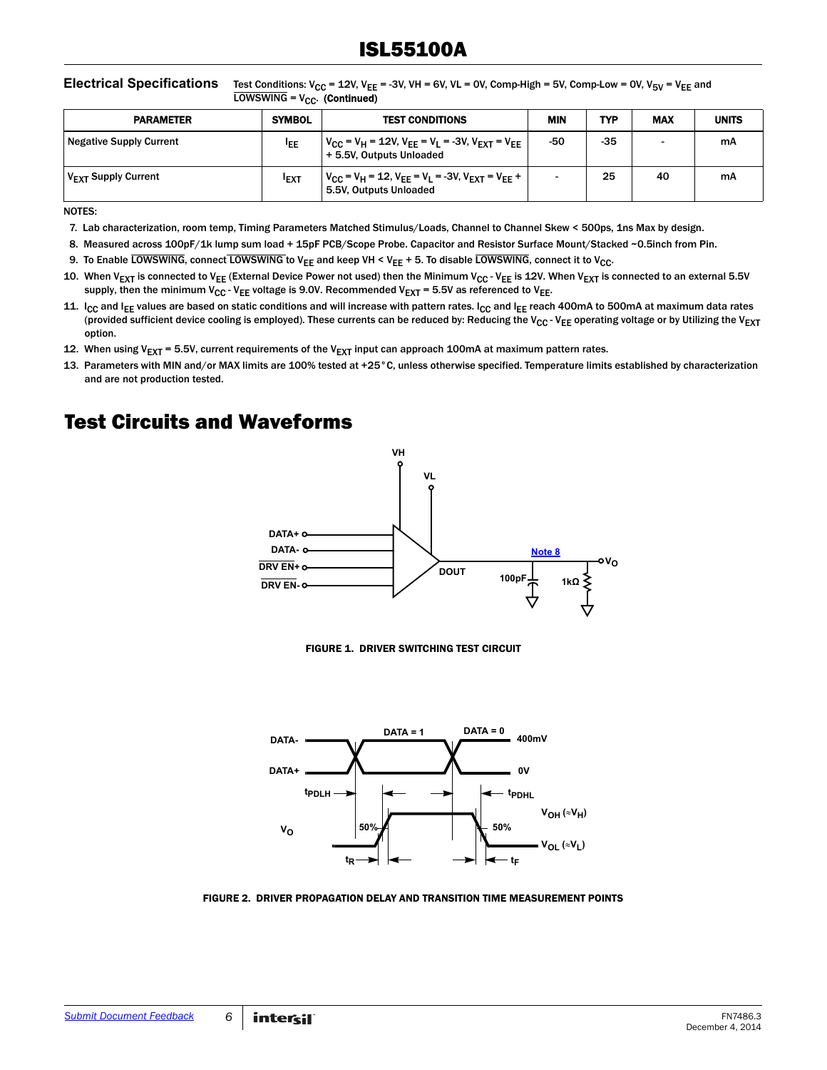#### **Electrical Specifications** Test Conditions:  $V_{CC} = 12V$ ,  $V_{EE} = -3V$ ,  $V = -6V$ ,  $V = 0V$ , Comp-High = 5V, Comp-Low = 0V,  $V_{5V} = V_{EE}$  and  $LOWSWING = V_{CC}$ . (Continued)

| <b>PARAMETER</b>                | <b>SYMBOL</b> | <b>TEST CONDITIONS</b>                                                                                                                         | <b>MIN</b> | TYP   | <b>MAX</b> | <b>UNITS</b> |
|---------------------------------|---------------|------------------------------------------------------------------------------------------------------------------------------------------------|------------|-------|------------|--------------|
| Negative Supply Current         | <b>IEE</b>    | $V_{\text{CC}}$ = V <sub>H</sub> = 12V, V <sub>FF</sub> = V <sub>L</sub> = -3V, V <sub>EXT</sub> = V <sub>FF</sub><br>+ 5.5V, Outputs Unloaded | -50        | $-35$ |            | mA           |
| V <sub>EXT</sub> Supply Current | <b>IEXT</b>   | $V_{CC}$ = V <sub>H</sub> = 12, V <sub>EE</sub> = V <sub>L</sub> = -3V, V <sub>EXT</sub> = V <sub>EE</sub> +<br>5.5V, Outputs Unloaded         |            | 25    | 40         | mA           |

NOTES:

- <span id="page-5-3"></span>7. Lab characterization, room temp, Timing Parameters Matched Stimulus/Loads, Channel to Channel Skew < 500ps, 1ns Max by design.
- <span id="page-5-4"></span>8. Measured across 100pF/1k lump sum load + 15pF PCB/Scope Probe. Capacitor and Resistor Surface Mount/Stacked ~0.5inch from Pin.
- <span id="page-5-2"></span>9. To Enable LOWSWING, connect LOWSWING to V<sub>EE</sub> and keep VH < V<sub>EE</sub> + 5. To disable LOWSWING, connect it to V<sub>CC</sub>.
- <span id="page-5-1"></span>10. When V<sub>EXT</sub> is connected to V<sub>EE</sub> (External Device Power not used) then the Minimum V<sub>CC</sub> - V<sub>EE</sub> is 12V. When V<sub>EXT</sub> is connected to an external 5.5V supply, then the minimum  $V_{CC}$  - V<sub>EE</sub> voltage is 9.0V. Recommended V<sub>EXT</sub> = 5.5V as referenced to V<sub>EE</sub>.
- <span id="page-5-5"></span>11. I<sub>CC</sub> and I<sub>EE</sub> values are based on static conditions and will increase with pattern rates. I<sub>CC</sub> and I<sub>EE</sub> reach 400mA to 500mA at maximum data rates (provided sufficient device cooling is employed). These currents can be reduced by: Reducing the V<sub>CC</sub> - V<sub>EE</sub> operating voltage or by Utilizing the V<sub>EXT</sub> option.
- <span id="page-5-6"></span>12. When using V<sub>EXT</sub> = 5.5V, current requirements of the V<sub>EXT</sub> input can approach 100mA at maximum pattern rates.
- <span id="page-5-0"></span>13. Parameters with MIN and/or MAX limits are 100% tested at +25°C, unless otherwise specified. Temperature limits established by characterization and are not production tested.

### Test Circuits and Waveforms



FIGURE 1. DRIVER SWITCHING TEST CIRCUIT



FIGURE 2. DRIVER PROPAGATION DELAY AND TRANSITION TIME MEASUREMENT POINTS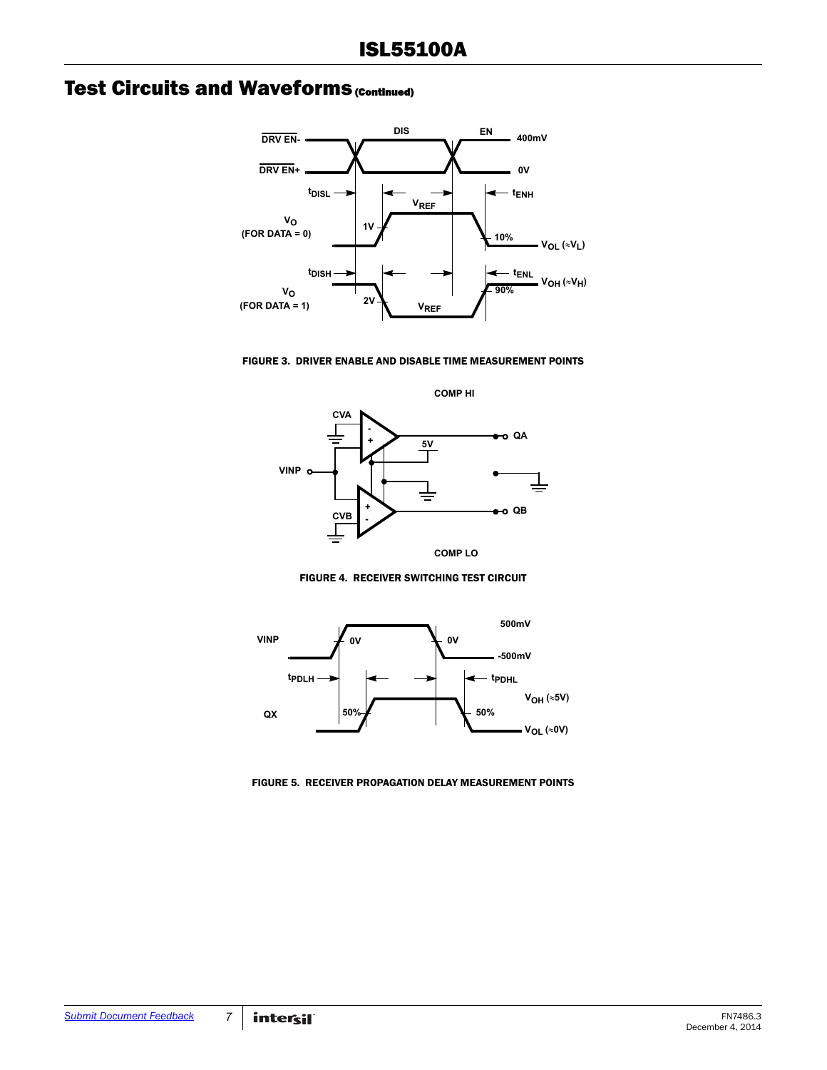### **Test Circuits and Waveforms (Continued)**







FIGURE 4. RECEIVER SWITCHING TEST CIRCUIT



FIGURE 5. RECEIVER PROPAGATION DELAY MEASUREMENT POINTS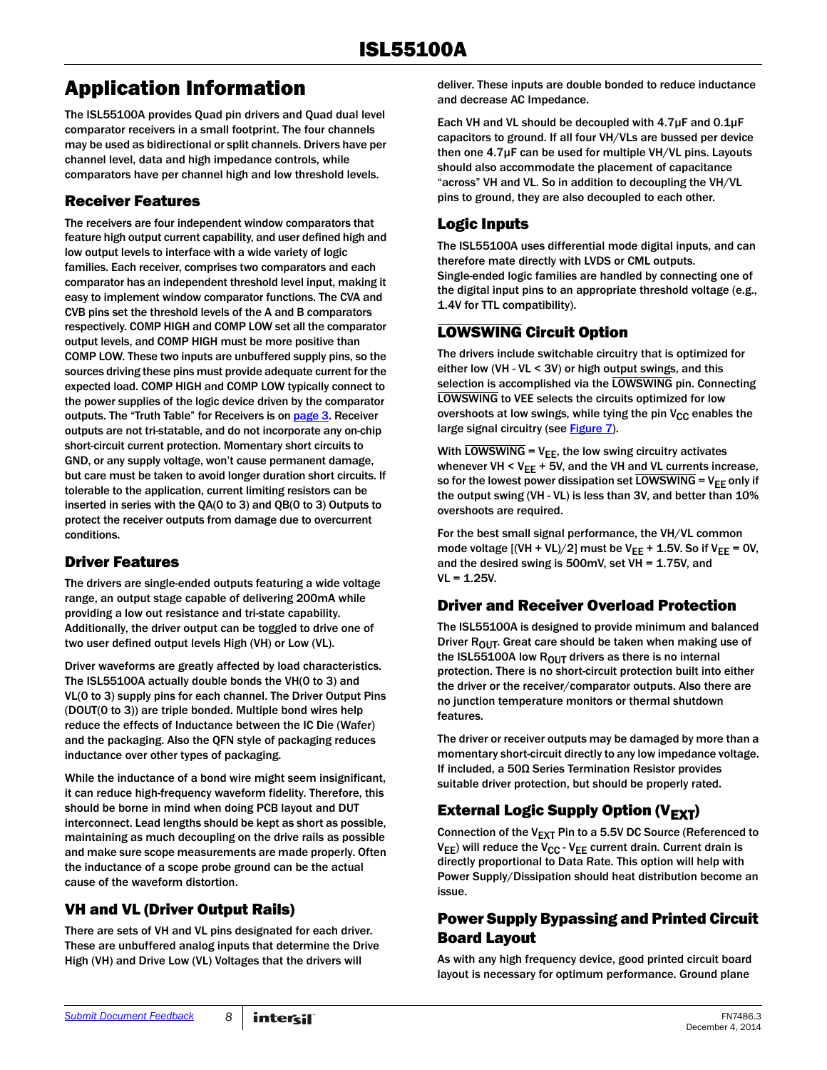### Application Information

The ISL55100A provides Quad pin drivers and Quad dual level comparator receivers in a small footprint. The four channels may be used as bidirectional or split channels. Drivers have per channel level, data and high impedance controls, while comparators have per channel high and low threshold levels.

#### Receiver Features

The receivers are four independent window comparators that feature high output current capability, and user defined high and low output levels to interface with a wide variety of logic families. Each receiver, comprises two comparators and each comparator has an independent threshold level input, making it easy to implement window comparator functions. The CVA and CVB pins set the threshold levels of the A and B comparators respectively. COMP HIGH and COMP LOW set all the comparator output levels, and COMP HIGH must be more positive than COMP LOW. These two inputs are unbuffered supply pins, so the sources driving these pins must provide adequate current for the expected load. COMP HIGH and COMP LOW typically connect to the power supplies of the logic device driven by the comparator outputs. The "Truth Table" for Receivers is on [page 3](#page-2-0). Receiver outputs are not tri-statable, and do not incorporate any on-chip short-circuit current protection. Momentary short circuits to GND, or any supply voltage, won't cause permanent damage, but care must be taken to avoid longer duration short circuits. If tolerable to the application, current limiting resistors can be inserted in series with the QA(0 to 3) and QB(0 to 3) Outputs to protect the receiver outputs from damage due to overcurrent conditions.

#### Driver Features

The drivers are single-ended outputs featuring a wide voltage range, an output stage capable of delivering 200mA while providing a low out resistance and tri-state capability. Additionally, the driver output can be toggled to drive one of two user defined output levels High (VH) or Low (VL).

Driver waveforms are greatly affected by load characteristics. The ISL55100A actually double bonds the VH(0 to 3) and VL(0 to 3) supply pins for each channel. The Driver Output Pins (DOUT(0 to 3)) are triple bonded. Multiple bond wires help reduce the effects of Inductance between the IC Die (Wafer) and the packaging. Also the QFN style of packaging reduces inductance over other types of packaging.

While the inductance of a bond wire might seem insignificant, it can reduce high-frequency waveform fidelity. Therefore, this should be borne in mind when doing PCB layout and DUT interconnect. Lead lengths should be kept as short as possible, maintaining as much decoupling on the drive rails as possible and make sure scope measurements are made properly. Often the inductance of a scope probe ground can be the actual cause of the waveform distortion.

#### VH and VL (Driver Output Rails)

There are sets of VH and VL pins designated for each driver. These are unbuffered analog inputs that determine the Drive High (VH) and Drive Low (VL) Voltages that the drivers will

deliver. These inputs are double bonded to reduce inductance and decrease AC Impedance.

Each VH and VL should be decoupled with 4.7µF and 0.1µF capacitors to ground. If all four VH/VLs are bussed per device then one 4.7µF can be used for multiple VH/VL pins. Layouts should also accommodate the placement of capacitance "across" VH and VL. So in addition to decoupling the VH/VL pins to ground, they are also decoupled to each other.

#### Logic Inputs

The ISL55100A uses differential mode digital inputs, and can therefore mate directly with LVDS or CML outputs. Single-ended logic families are handled by connecting one of the digital input pins to an appropriate threshold voltage (e.g., 1.4V for TTL compatibility).

#### LOWSWING Circuit Option

The drivers include switchable circuitry that is optimized for either low (VH - VL < 3V) or high output swings, and this selection is accomplished via the LOWSWING pin. Connecting LOWSWING to VEE selects the circuits optimized for low overshoots at low swings, while tying the pin  $V_{CC}$  enables the large signal circuitry (see **Figure 7**).

With LOWSWING =  $V_{EE}$ , the low swing circuitry activates whenever VH  $<$  V<sub>EE</sub> + 5V, and the VH and VL currents increase, so for the lowest power dissipation set LOWSWING =  $V_{EE}$  only if the output swing (VH - VL) is less than 3V, and better than 10% overshoots are required.

For the best small signal performance, the VH/VL common mode voltage  $[(VH + VL)/2]$  must be  $V_{FF} + 1.5V$ . So if  $V_{FF} = 0V$ , and the desired swing is  $500$ mV, set VH = 1.75V, and  $VL = 1.25V$ .

#### Driver and Receiver Overload Protection

The ISL55100A is designed to provide minimum and balanced Driver  $R_{OUT}$ . Great care should be taken when making use of the ISL55100A low  $R_{OUT}$  drivers as there is no internal protection. There is no short-circuit protection built into either the driver or the receiver/comparator outputs. Also there are no junction temperature monitors or thermal shutdown features.

The driver or receiver outputs may be damaged by more than a momentary short-circuit directly to any low impedance voltage. If included, a 50Ω Series Termination Resistor provides suitable driver protection, but should be properly rated.

#### External Logic Supply Option ( $V_{\text{FXT}}$ )

Connection of the  $V_{EXT}$  Pin to a 5.5V DC Source (Referenced to  $V_{EE}$ ) will reduce the  $V_{CC}$  -  $V_{EE}$  current drain. Current drain is directly proportional to Data Rate. This option will help with Power Supply/Dissipation should heat distribution become an issue.

#### Power Supply Bypassing and Printed Circuit Board Layout

As with any high frequency device, good printed circuit board layout is necessary for optimum performance. Ground plane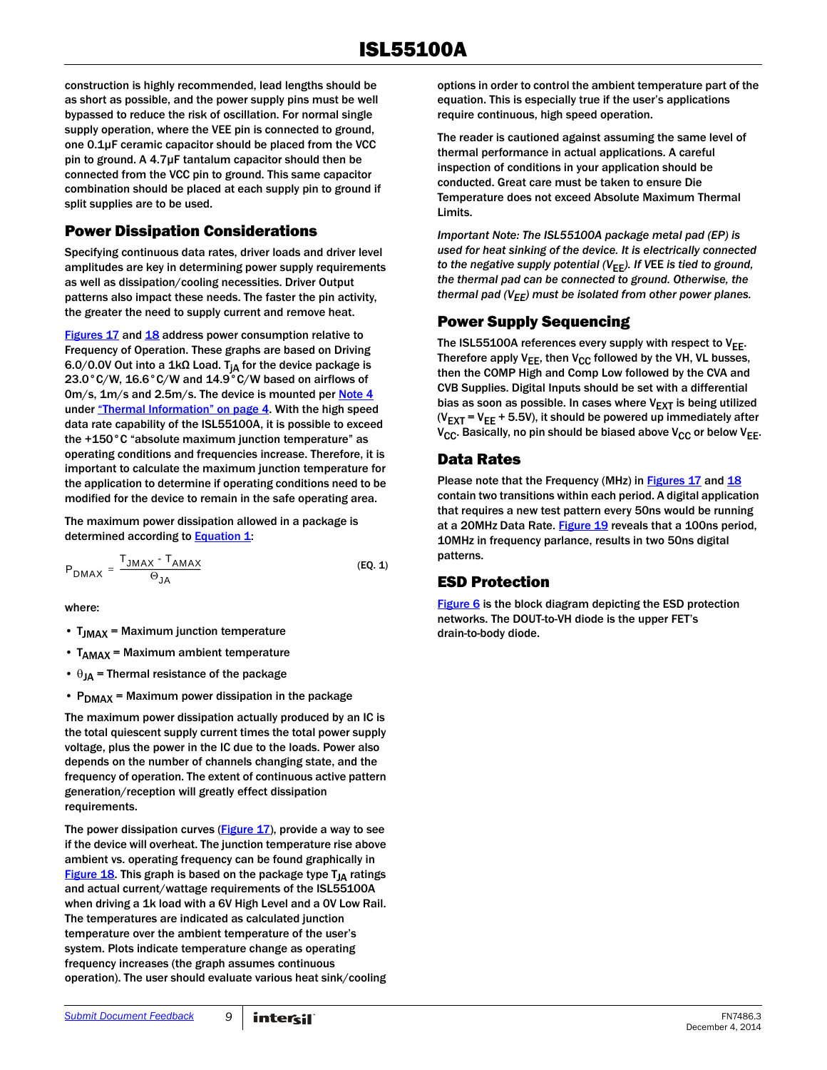construction is highly recommended, lead lengths should be as short as possible, and the power supply pins must be well bypassed to reduce the risk of oscillation. For normal single supply operation, where the VEE pin is connected to ground, one 0.1µF ceramic capacitor should be placed from the VCC pin to ground. A 4.7µF tantalum capacitor should then be connected from the VCC pin to ground. This same capacitor combination should be placed at each supply pin to ground if split supplies are to be used.

#### <span id="page-8-0"></span>Power Dissipation Considerations

Specifying continuous data rates, driver loads and driver level amplitudes are key in determining power supply requirements as well as dissipation/cooling necessities. Driver Output patterns also impact these needs. The faster the pin activity, the greater the need to supply current and remove heat.

[Figures 17](#page-11-0) and [18](#page-11-1) address power consumption relative to Frequency of Operation. These graphs are based on Driving 6.0/0.0V Out into a 1kΩ Load. T<sub>iA</sub> for the device package is 23.0°C/W, 16.6°C/W and 14.9°C/W based on airflows of 0m/s, 1m/s and 2.5m/s. The device is mounted per [Note 4](#page-3-0) under ["Thermal Information" on page 4](#page-3-3). With the high speed data rate capability of the ISL55100A, it is possible to exceed the +150°C "absolute maximum junction temperature" as operating conditions and frequencies increase. Therefore, it is important to calculate the maximum junction temperature for the application to determine if operating conditions need to be modified for the device to remain in the safe operating area.

The maximum power dissipation allowed in a package is determined according to **Equation 1:** 

$$
P_{DMAX} = \frac{T_{JMAX} \cdot T_{AMAX}}{\Theta_{JA}} \tag{Eq. 1}
$$

where:

- T<sub>JMAX</sub> = Maximum junction temperature
- $T<sub>AMAX</sub>$  = Maximum ambient temperature
- $\theta_{IA}$  = Thermal resistance of the package
- $P_{DMAX}$  = Maximum power dissipation in the package

The maximum power dissipation actually produced by an IC is the total quiescent supply current times the total power supply voltage, plus the power in the IC due to the loads. Power also depends on the number of channels changing state, and the frequency of operation. The extent of continuous active pattern generation/reception will greatly effect dissipation requirements.

The power dissipation curves  $(Figure 17)$  $(Figure 17)$ , provide a way to see if the device will overheat. The junction temperature rise above ambient vs. operating frequency can be found graphically in Figure  $18$ . This graph is based on the package type  $T_{JA}$  ratings and actual current/wattage requirements of the ISL55100A when driving a 1k load with a 6V High Level and a 0V Low Rail. The temperatures are indicated as calculated junction temperature over the ambient temperature of the user's system. Plots indicate temperature change as operating frequency increases (the graph assumes continuous operation). The user should evaluate various heat sink/cooling options in order to control the ambient temperature part of the equation. This is especially true if the user's applications require continuous, high speed operation.

The reader is cautioned against assuming the same level of thermal performance in actual applications. A careful inspection of conditions in your application should be conducted. Great care must be taken to ensure Die Temperature does not exceed Absolute Maximum Thermal Limits.

*Important Note: The ISL55100A package metal pad (EP) is used for heat sinking of the device. It is electrically connected to the negative supply potential (V*EE*). If V*EE *is tied to ground, the thermal pad can be connected to ground. Otherwise, the thermal pad (VEE) must be isolated from other power planes.*

#### Power Supply Sequencing

The ISL55100A references every supply with respect to  $V_{EE}$ . Therefore apply  $V_{FF}$ , then  $V_{CC}$  followed by the VH, VL busses, then the COMP High and Comp Low followed by the CVA and CVB Supplies. Digital Inputs should be set with a differential bias as soon as possible. In cases where  $V_{\text{FXT}}$  is being utilized ( $V_{\text{EXT}}$  =  $V_{\text{FE}}$  + 5.5V), it should be powered up immediately after  $V_{CC}$ . Basically, no pin should be biased above  $V_{CC}$  or below  $V_{EE}$ .

#### Data Rates

Please note that the Frequency (MHz) in [Figures 17](#page-11-0) and [18](#page-11-1) contain two transitions within each period. A digital application that requires a new test pattern every 50ns would be running at a 20MHz Data Rate. [Figure 19](#page-12-0) reveals that a 100ns period, 10MHz in frequency parlance, results in two 50ns digital patterns.

#### <span id="page-8-2"></span><span id="page-8-1"></span>ESD Protection

[Figure 6](#page-9-0) is the block diagram depicting the ESD protection networks. The DOUT-to-VH diode is the upper FET's drain-to-body diode.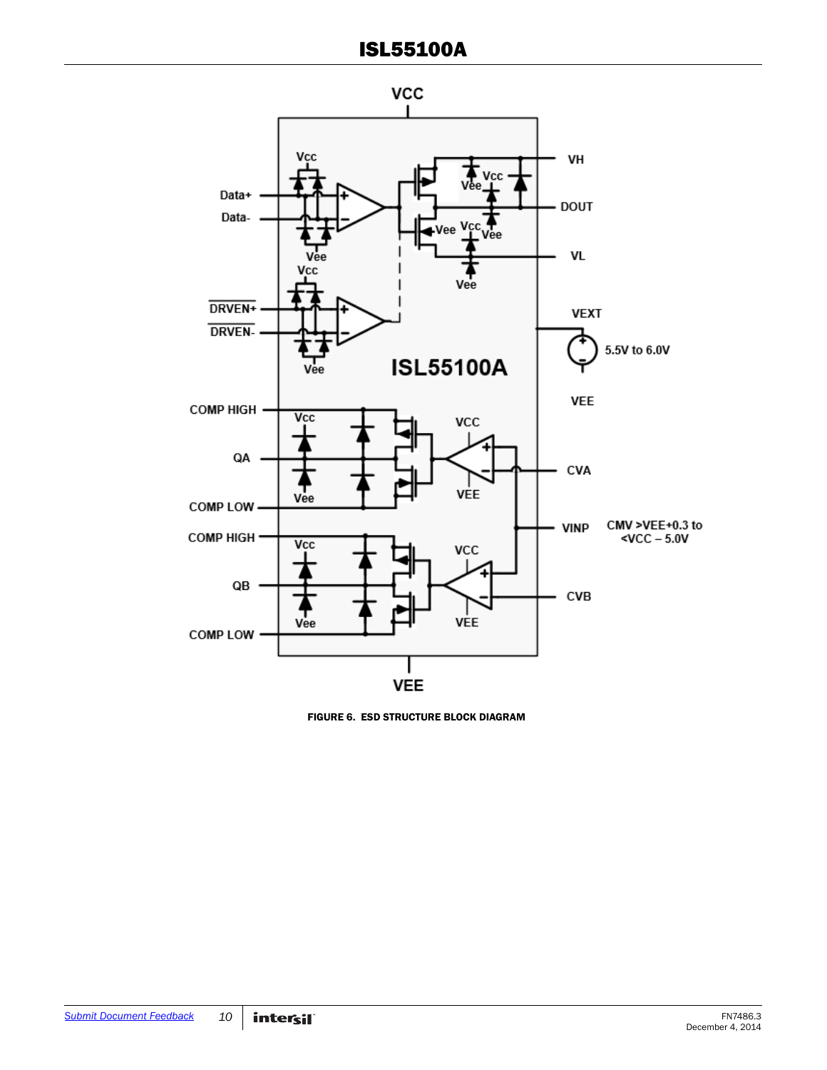

<span id="page-9-0"></span>FIGURE 6. ESD STRUCTURE BLOCK DIAGRAM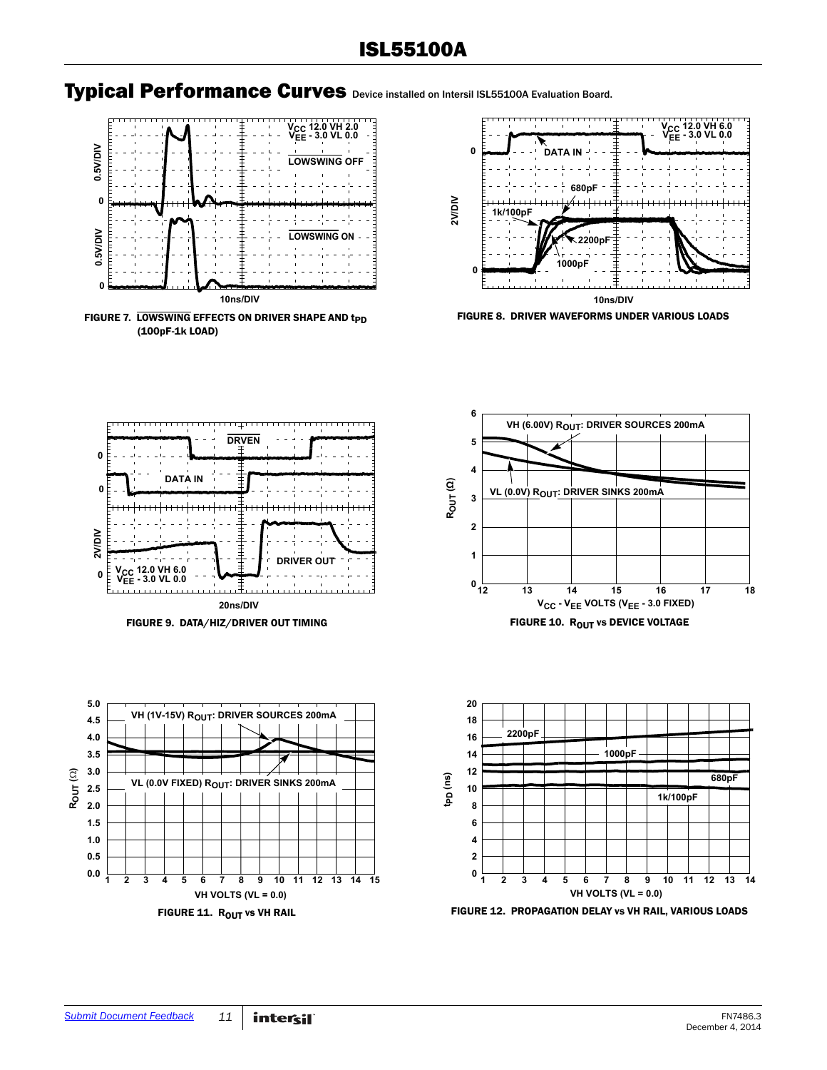



<span id="page-10-0"></span>FIGURE 7. LOWSWING EFFECTS ON DRIVER SHAPE AND t<sub>PD</sub> (100pF-1k LOAD)



FIGURE 8. DRIVER WAVEFORMS UNDER VARIOUS LOADS











![](_page_10_Figure_11.jpeg)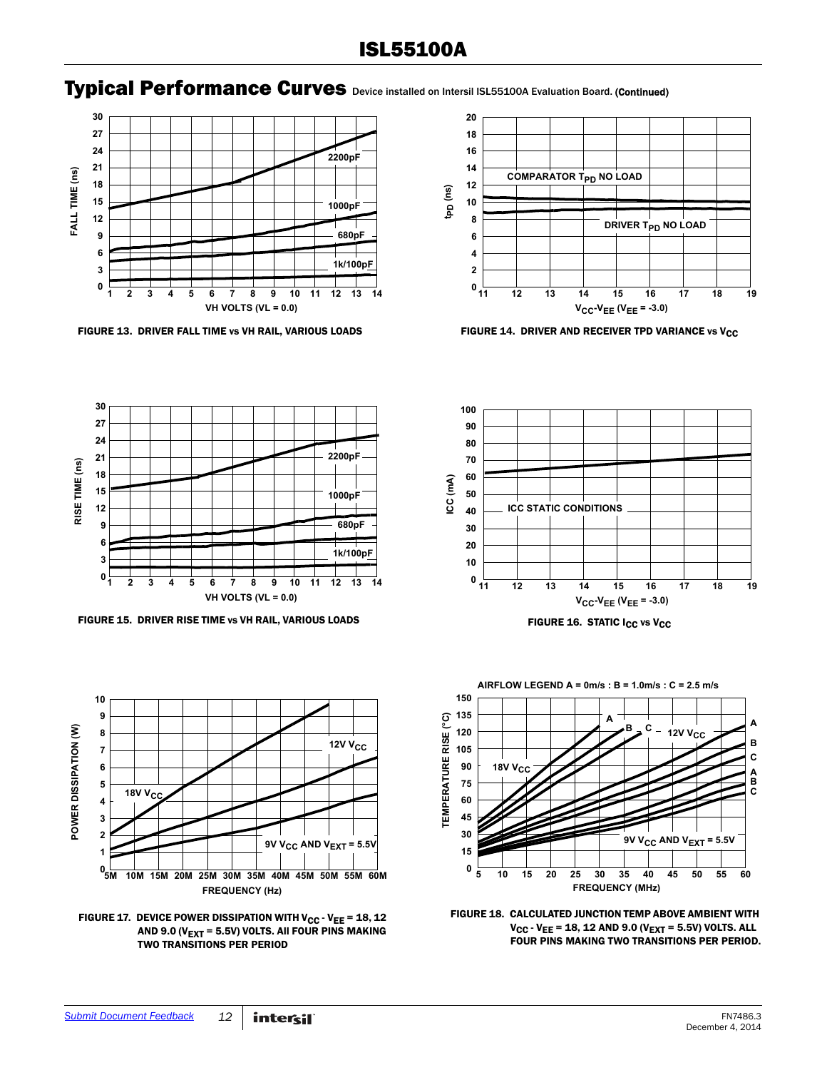### Typical Performance Curves Device installed on Intersil ISL55100A Evaluation Board. (Continued)

![](_page_11_Figure_2.jpeg)

FIGURE 13. DRIVER FALL TIME vs VH RAIL, VARIOUS LOADS FIGURE 14. DRIVER AND RECEIVER TPD VARIANCE vs V<sub>CC</sub>

![](_page_11_Figure_4.jpeg)

![](_page_11_Figure_6.jpeg)

FIGURE 15. DRIVER RISE TIME vs VH RAIL, VARIOUS LOADS FIGURE 16. STATIC I<sub>CC</sub> vs V<sub>CC</sub>

![](_page_11_Figure_8.jpeg)

<span id="page-11-0"></span>FIGURE 17. DEVICE POWER DISSIPATION WITH  $V_{CC}$  -  $V_{EE}$  = 18, 12 AND 9.0 ( $V_{\text{EXT}}$  = 5.5V) VOLTS. All FOUR PINS MAKING TWO TRANSITIONS PER PERIOD

![](_page_11_Figure_10.jpeg)

![](_page_11_Figure_11.jpeg)

![](_page_11_Figure_12.jpeg)

![](_page_11_Figure_13.jpeg)

<span id="page-11-1"></span>FIGURE 18. CALCULATED JUNCTION TEMP ABOVE AMBIENT WITH  $V_{CC}$  -  $V_{EE}$  = 18, 12 AND 9.0 ( $V_{EXT}$  = 5.5V) VOLTS. ALL FOUR PINS MAKING TWO TRANSITIONS PER PERIOD.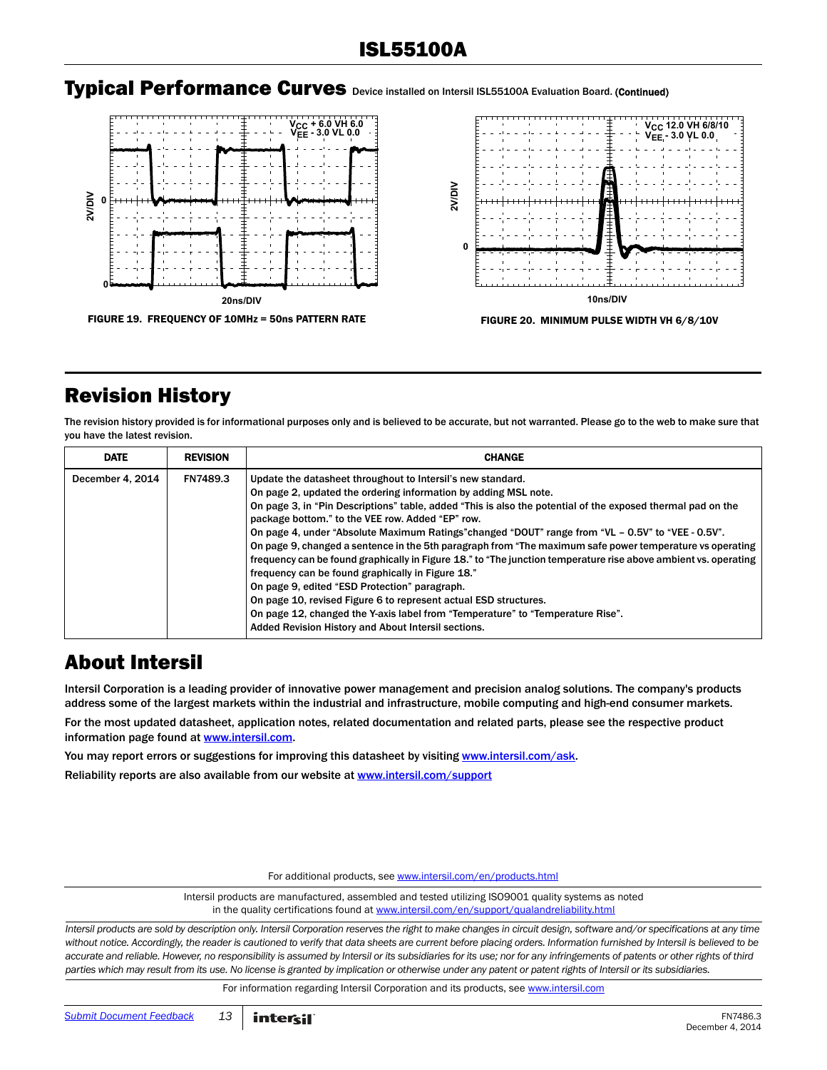#### Typical Performance Curves Device installed on Intersil ISL55100A Evaluation Board. (Continued)

![](_page_12_Figure_2.jpeg)

![](_page_12_Figure_3.jpeg)

### <span id="page-12-0"></span>Revision History

The revision history provided is for informational purposes only and is believed to be accurate, but not warranted. Please go to the web to make sure that you have the latest revision.

| <b>DATE</b>      | <b>REVISION</b> | <b>CHANGE</b>                                                                                                                                                                                                                                                                                                                                                                                                                                                                                                                                                                                                                                                                                                                                                                                                                                                                                                                                             |
|------------------|-----------------|-----------------------------------------------------------------------------------------------------------------------------------------------------------------------------------------------------------------------------------------------------------------------------------------------------------------------------------------------------------------------------------------------------------------------------------------------------------------------------------------------------------------------------------------------------------------------------------------------------------------------------------------------------------------------------------------------------------------------------------------------------------------------------------------------------------------------------------------------------------------------------------------------------------------------------------------------------------|
| December 4, 2014 | <b>FN7489.3</b> | Update the datasheet throughout to Intersil's new standard.<br>On page 2, updated the ordering information by adding MSL note.<br>On page 3, in "Pin Descriptions" table, added "This is also the potential of the exposed thermal pad on the<br>package bottom." to the VEE row. Added "EP" row.<br>On page 4, under "Absolute Maximum Ratings" changed "DOUT" range from "VL - 0.5V" to "VEE - 0.5V".<br>On page 9, changed a sentence in the 5th paragraph from "The maximum safe power temperature vs operating<br>frequency can be found graphically in Figure 18." to "The junction temperature rise above ambient vs. operating<br>frequency can be found graphically in Figure 18."<br>On page 9, edited "ESD Protection" paragraph.<br>On page 10, revised Figure 6 to represent actual ESD structures.<br>On page 12, changed the Y-axis label from "Temperature" to "Temperature Rise".<br>Added Revision History and About Intersil sections. |

### About Intersil

Intersil Corporation is a leading provider of innovative power management and precision analog solutions. The company's products address some of the largest markets within the industrial and infrastructure, mobile computing and high-end consumer markets.

For the most updated datasheet, application notes, related documentation and related parts, please see the respective product information page found at [www.intersil.com.](www.intersil.com)

You may report errors or suggestions for improving this datasheet by visiting [www.intersil.com/ask](http://www.intersil.com/en/support/support-faqs.html?p_page=ask.php&p_prods=679&p_icf_7=ISL55100A).

Reliability reports are also available from our website at [www.intersil.com/support](http://www.intersil.com/en/support/qualandreliability.html#reliability)

For additional products, see [www.intersil.com/en/products.html](http://www.intersil.com/en/products.html)

Intersil products are manufactured, assembled and tested utilizing ISO9001 quality systems as noted in the quality certifications found at [www.intersil.com/en/support/qualandreliability.html](http://www.intersil.com/en/support/qualandreliability.html)

*Intersil products are sold by description only. Intersil Corporation reserves the right to make changes in circuit design, software and/or specifications at any time*  without notice. Accordingly, the reader is cautioned to verify that data sheets are current before placing orders. Information furnished by Intersil is believed to be *accurate and reliable. However, no responsibility is assumed by Intersil or its subsidiaries for its use; nor for any infringements of patents or other rights of third parties which may result from its use. No license is granted by implication or otherwise under any patent or patent rights of Intersil or its subsidiaries.*

For information regarding Intersil Corporation and its products, see [www.intersil.com](http://www.intersil.com/en.html)